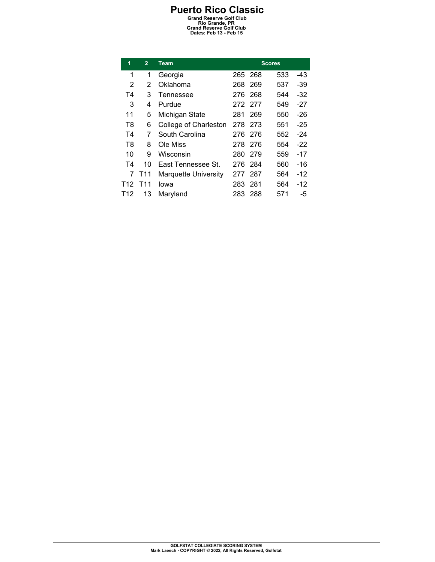| 1              | $\overline{2}$  | <b>Team</b>                 | <b>Scores</b> |         |     |       |
|----------------|-----------------|-----------------------------|---------------|---------|-----|-------|
| 1              | 1               | Georgia                     | 265           | -268    | 533 | -43   |
| 2              | 2               | Oklahoma                    | 268           | 269     | 537 | $-39$ |
| Τ4             | 3               | Tennessee                   |               | 276 268 | 544 | -32   |
| 3              | 4               | Purdue                      |               | 272 277 | 549 | $-27$ |
| 11             | 5               | Michigan State              | 281           | 269     | 550 | $-26$ |
| T8             | 6               | College of Charleston       | 278           | 273     | 551 | $-25$ |
| T <sub>4</sub> | 7               | South Carolina              | 276           | 276     | 552 | $-24$ |
| T8             | 8               | Ole Miss                    |               | 278 276 | 554 | $-22$ |
| 10             | 9               | Wisconsin                   | 280           | 279     | 559 | $-17$ |
| T4             | 10              | East Tennessee St.          | 276           | 284     | 560 | $-16$ |
| 7              | T <sub>11</sub> | <b>Marquette University</b> | 277           | 287     | 564 | -12   |
| T12            | T11             | lowa                        | 283           | 281     | 564 | $-12$ |
| T12            | 13              | Maryland                    | 283           | 288     | 571 | -5    |
|                |                 |                             |               |         |     |       |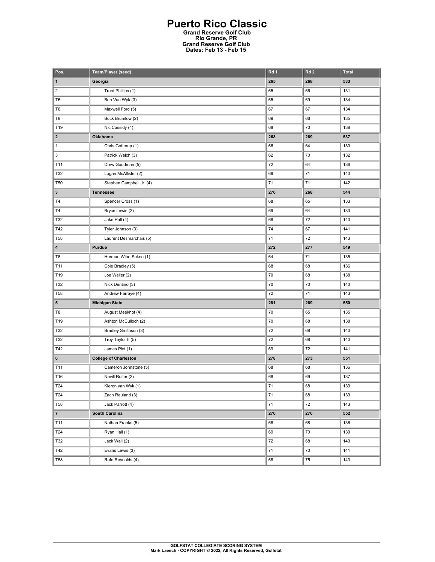| Pos.            | <b>Team/Player (seed)</b>    | Rd 1 | Rd <sub>2</sub> | <b>Total</b> |
|-----------------|------------------------------|------|-----------------|--------------|
| 1               | Georgia                      | 265  | 268             | 533          |
| $\overline{c}$  | Trent Phillips (1)           | 65   | 66              | 131          |
| T6              | Ben Van Wyk (3)              | 65   | 69              | 134          |
| T <sub>6</sub>  | Maxwell Ford (5)             | 67   | 67              | 134          |
| T8              | Buck Brumlow (2)             | 69   | 66              | 135          |
| T19             | Nic Cassidy (4)              | 68   | 70              | 138          |
| $\mathbf{2}$    | Oklahoma                     | 268  | 269             | 537          |
| $\mathbf{1}$    | Chris Gotterup (1)           | 66   | 64              | 130          |
| 3               | Patrick Welch (3)            | 62   | 70              | 132          |
| T11             | Drew Goodman (5)             | 72   | 64              | 136          |
| T32             | Logan McAllister (2)         | 69   | 71              | 140          |
| T <sub>50</sub> | Stephen Campbell Jr. (4)     | 71   | 71              | 142          |
| $\mathbf{3}$    | <b>Tennessee</b>             | 276  | 268             | 544          |
| T <sub>4</sub>  | Spencer Cross (1)            | 68   | 65              | 133          |
| T <sub>4</sub>  | Bryce Lewis (2)              | 69   | 64              | 133          |
| T32             | Jake Hall (4)                | 68   | 72              | 140          |
| T42             | Tyler Johnson (3)            | 74   | 67              | 141          |
| <b>T58</b>      | Laurent Desmarchais (5)      | 71   | 72              | 143          |
| 4               | Purdue                       | 272  | 277             | 549          |
| T8              | Herman Wibe Sekne (1)        | 64   | 71              | 135          |
| T11             | Cole Bradley (5)             | 68   | 68              | 136          |
| T19             | Joe Weiler (2)               | 70   | 68              | 138          |
| T32             | Nick Dentino (3)             | 70   | 70              | 140          |
| <b>T58</b>      | Andrew Farraye (4)           | 72   | 71              | 143          |
| 5               | <b>Michigan State</b>        | 281  | 269             | 550          |
| T8              | August Meekhof (4)           | 70   | 65              | 135          |
| T19             | Ashton McCulloch (2)         | 70   | 68              | 138          |
| T32             | Bradley Smithson (3)         | 72   | 68              | 140          |
| T32             | Troy Taylor II (5)           | 72   | 68              | 140          |
| T42             | James Piot (1)               | 69   | 72              | 141          |
| 6               | <b>College of Charleston</b> | 278  | 273             | 551          |
| T11             | Cameron Johnstone (5)        | 68   | 68              | 136          |
| T16             | Nevill Ruiter (2)            | 68   | 69              | 137          |
| T24             | Kieron van Wyk (1)           | 71   | 68              | 139          |
| T24             | Zach Reuland (3)             | 71   | 68              | 139          |
| <b>T58</b>      | Jack Parrott (4)             | 71   | 72              | 143          |
| $\mathbf{7}$    | South Carolina               | 276  | 276             | 552          |
| T11             | Nathan Franks (5)            | 68   | 68              | 136          |
| T24             | Ryan Hall (1)                | 69   | 70              | 139          |
| T32             | Jack Wall (2)                | 72   | 68              | 140          |
| T42             | Evans Lewis (3)              | 71   | 70              | 141          |
| <b>T58</b>      | Rafe Reynolds (4)            | 68   | 75              | 143          |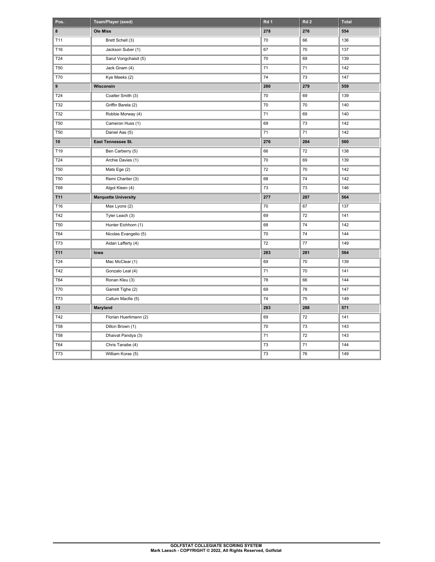| Pos.       | Team/Player (seed)          | Rd 1 | Rd <sub>2</sub> | <b>Total</b> |
|------------|-----------------------------|------|-----------------|--------------|
| 8          | <b>Ole Miss</b>             | 278  | 276             | 554          |
| T11        | Brett Schell (3)            | 70   | 66              | 136          |
| T16        | Jackson Suber (1)           | 67   | 70              | 137          |
| T24        | Sarut Vongchaisit (5)       | 70   | 69              | 139          |
| <b>T50</b> | Jack Gnam (4)               | 71   | 71              | 142          |
| <b>T70</b> | Kye Meeks (2)               | 74   | 73              | 147          |
| 9          | Wisconsin                   | 280  | 279             | 559          |
| T24        | Coalter Smith (3)           | 70   | 69              | 139          |
| T32        | Griffin Barela (2)          | 70   | 70              | 140          |
| T32        | Robbie Morway (4)           | 71   | 69              | 140          |
| <b>T50</b> | Cameron Huss (1)            | 69   | 73              | 142          |
| <b>T50</b> | Daniel Aas (5)              | 71   | 71              | 142          |
| 10         | East Tennessee St.          | 276  | 284             | 560          |
| T19        | Ben Carberry (5)            | 66   | 72              | 138          |
| T24        | Archie Davies (1)           | 70   | 69              | 139          |
| <b>T50</b> | Mats Ege (2)                | 72   | 70              | 142          |
| <b>T50</b> | Remi Chartier (3)           | 68   | 74              | 142          |
| <b>T68</b> | Algot Kleen (4)             | 73   | 73              | 146          |
| T11        | <b>Marquette University</b> | 277  | 287             | 564          |
| T16        | Max Lyons (2)               | 70   | 67              | 137          |
| T42        | Tyler Leach (3)             | 69   | 72              | 141          |
| <b>T50</b> | Hunter Eichhorn (1)         | 68   | 74              | 142          |
| T64        | Nicolas Evangelio (5)       | 70   | 74              | 144          |
| <b>T73</b> | Aidan Lafferty (4)          | 72   | 77              | 149          |
| T11        | lowa                        | 283  | 281             | 564          |
| T24        | Mac McClear (1)             | 69   | 70              | 139          |
| T42        | Gonzalo Leal (4)            | 71   | 70              | 141          |
| T64        | Ronan Kleu (3)              | 78   | 66              | 144          |
| T70        | Garrett Tighe (2)           | 69   | 78              | 147          |
| T73        | Callum Macfie (5)           | 74   | 75              | 149          |
| 13         | Maryland                    | 283  | 288             | 571          |
| T42        | Florian Huerlimann (2)      | 69   | 72              | 141          |
| <b>T58</b> | Dillon Brown (1)            | 70   | 73              | 143          |
| <b>T58</b> | Dhaivat Pandya (3)          | 71   | 72              | 143          |
| T64        | Chris Tanabe (4)            | 73   | 71              | 144          |
| T73        | William Koras (5)           | 73   | 76              | 149          |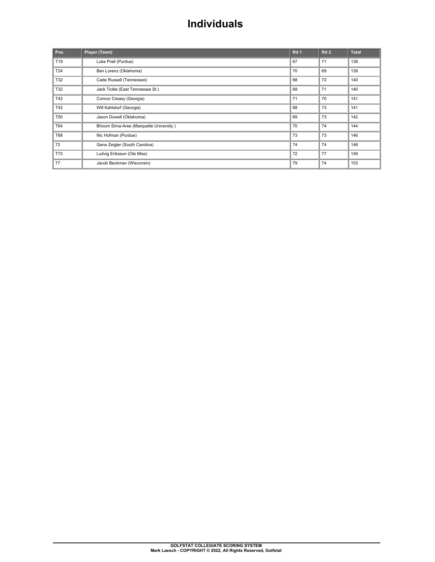## **Individuals**

| Pos.       | Player (Team)                          | Rd 1 | Rd2 | <b>Total</b> |
|------------|----------------------------------------|------|-----|--------------|
| T19        | Luke Prall (Purdue)                    | 67   | 71  | 138          |
| T24        | Ben Lorenz (Oklahoma)                  | 70   | 69  | 139          |
| T32        | Cade Russell (Tennessee)               | 68   | 72  | 140          |
| T32        | Jack Tickle (East Tennessee St.)       | 69   | 71  | 140          |
| T42        | Connor Creasy (Georgia)                | 71   | 70  | 141          |
| T42        | Will Kahlstorf (Georgia)               | 68   | 73  | 141          |
| <b>T50</b> | Jaxon Dowell (Oklahoma)                | 69   | 73  | 142          |
| T64        | Bhoom Sima-Aree (Marquette University) | 70   | 74  | 144          |
| T68        | Nic Hofman (Purdue)                    | 73   | 73  | 146          |
| 72         | Gene Zeigler (South Carolina)          | 74   | 74  | 148          |
| <b>T73</b> | Ludvig Eriksson (Ole Miss)             | 72   | 77  | 149          |
| 77         | Jacob Beckman (Wisconsin)              | 79   | 74  | 153          |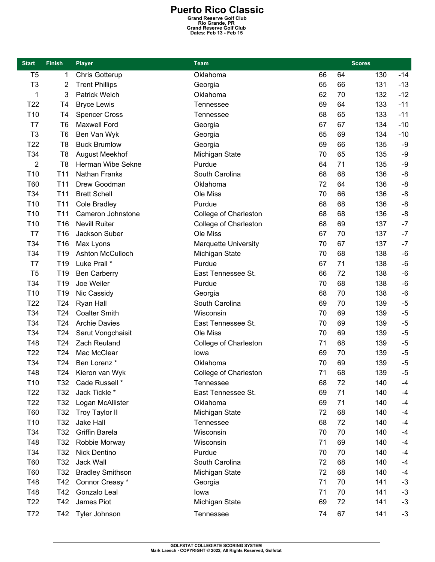| <b>Start</b>    | <b>Finish</b>   | <b>Player</b>           | <b>Team</b>                 |    |    | <b>Scores</b> |                |
|-----------------|-----------------|-------------------------|-----------------------------|----|----|---------------|----------------|
| T <sub>5</sub>  | 1               | Chris Gotterup          | Oklahoma                    | 66 | 64 | 130           | $-14$          |
| T <sub>3</sub>  | 2               | <b>Trent Phillips</b>   | Georgia                     | 65 | 66 | 131           | $-13$          |
| 1               | 3               | <b>Patrick Welch</b>    | Oklahoma                    | 62 | 70 | 132           | $-12$          |
| T <sub>22</sub> | T <sub>4</sub>  | <b>Bryce Lewis</b>      | Tennessee                   | 69 | 64 | 133           | $-11$          |
| T <sub>10</sub> | T <sub>4</sub>  | <b>Spencer Cross</b>    | Tennessee                   | 68 | 65 | 133           | $-11$          |
| T7              | T <sub>6</sub>  | Maxwell Ford            | Georgia                     | 67 | 67 | 134           | $-10$          |
| T <sub>3</sub>  | T <sub>6</sub>  | Ben Van Wyk             | Georgia                     | 65 | 69 | 134           | $-10$          |
| T <sub>22</sub> | T <sub>8</sub>  | <b>Buck Brumlow</b>     | Georgia                     | 69 | 66 | 135           | $-9$           |
| T34             | T <sub>8</sub>  | <b>August Meekhof</b>   | Michigan State              | 70 | 65 | 135           | $-9$           |
| $\overline{2}$  | T <sub>8</sub>  | Herman Wibe Sekne       | Purdue                      | 64 | 71 | 135           | -9             |
| T <sub>10</sub> | T <sub>11</sub> | Nathan Franks           | South Carolina              | 68 | 68 | 136           | -8             |
| <b>T60</b>      | T <sub>11</sub> | Drew Goodman            | Oklahoma                    | 72 | 64 | 136           | $-8$           |
| T34             | T <sub>11</sub> | <b>Brett Schell</b>     | Ole Miss                    | 70 | 66 | 136           | -8             |
| T <sub>10</sub> | T <sub>11</sub> | <b>Cole Bradley</b>     | Purdue                      | 68 | 68 | 136           | $-8$           |
| T <sub>10</sub> | T <sub>11</sub> | Cameron Johnstone       | College of Charleston       | 68 | 68 | 136           | $-8$           |
| T <sub>10</sub> | T16             | <b>Nevill Ruiter</b>    | College of Charleston       | 68 | 69 | 137           | $-7$           |
| T7              | T16             | Jackson Suber           | Ole Miss                    | 67 | 70 | 137           | $-7$           |
| T34             | T16             | Max Lyons               | <b>Marquette University</b> | 70 | 67 | 137           | $-7$           |
| T34             | T19             | <b>Ashton McCulloch</b> | Michigan State              | 70 | 68 | 138           | $-6$           |
| T7              | T <sub>19</sub> | Luke Prall *            | Purdue                      | 67 | 71 | 138           | $-6$           |
| T <sub>5</sub>  | T19             | <b>Ben Carberry</b>     | East Tennessee St.          | 66 | 72 | 138           | $-6$           |
| T34             | T19             | Joe Weiler              | Purdue                      | 70 | 68 | 138           | $-6$           |
| T <sub>10</sub> | T19             | Nic Cassidy             | Georgia                     | 68 | 70 | 138           | $-6$           |
| T <sub>22</sub> | T24             | Ryan Hall               | South Carolina              | 69 | 70 | 139           | $-5$           |
| T34             | T24             | <b>Coalter Smith</b>    | Wisconsin                   | 70 | 69 | 139           | $-5$           |
| T34             | T24             | <b>Archie Davies</b>    | East Tennessee St.          | 70 | 69 | 139           | $-5$           |
| T34             | T24             | Sarut Vongchaisit       | Ole Miss                    | 70 | 69 | 139           | $-5$           |
| T48             | T <sub>24</sub> | Zach Reuland            | College of Charleston       | 71 | 68 | 139           | $-5$           |
| T <sub>22</sub> | T24             | Mac McClear             | lowa                        | 69 | 70 | 139           | $-5$           |
| T34             | T24             | Ben Lorenz *            | Oklahoma                    | 70 | 69 | 139           | $-5$           |
| T48             | T24             | Kieron van Wyk          | College of Charleston       | 71 | 68 | 139           | $\overline{5}$ |
| T <sub>10</sub> | T32             | Cade Russell *          | Tennessee                   | 68 | 72 | 140           | $-4$           |
| T <sub>22</sub> | T32             | Jack Tickle *           | East Tennessee St.          | 69 | 71 | 140           | $-4$           |
| T <sub>22</sub> | T32             | Logan McAllister        | Oklahoma                    | 69 | 71 | 140           | -4             |
| T60             | T <sub>32</sub> | <b>Troy Taylor II</b>   | Michigan State              | 72 | 68 | 140           | $-4$           |
| T <sub>10</sub> | T32             | Jake Hall               | Tennessee                   | 68 | 72 | 140           | $-4$           |
| T34             | T32             | <b>Griffin Barela</b>   | Wisconsin                   | 70 | 70 | 140           | $-4$           |
| T48             | T <sub>32</sub> | Robbie Morway           | Wisconsin                   | 71 | 69 | 140           | $-4$           |
| T34             | T32             | Nick Dentino            | Purdue                      | 70 | 70 | 140           | -4             |
| T60             | T32             | Jack Wall               | South Carolina              | 72 | 68 | 140           | -4             |
| T60             | T <sub>32</sub> | <b>Bradley Smithson</b> | Michigan State              | 72 | 68 | 140           | $-4$           |
| T48             | T42             | Connor Creasy *         | Georgia                     | 71 | 70 | 141           | $-3$           |
| T48             | T42             | Gonzalo Leal            | lowa                        | 71 | 70 | 141           | $-3$           |
| T <sub>22</sub> | T42             | James Piot              | Michigan State              | 69 | 72 | 141           | $-3$           |
| T72             | T42             | Tyler Johnson           | Tennessee                   | 74 | 67 | 141           | $-3$           |